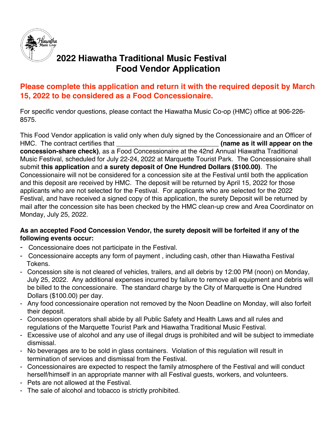

## **2022 Hiawatha Traditional Music Festival Food Vendor Application**

## **Please complete this application and return it with the required deposit by March 15, 2022 to be considered as a Food Concessionaire.**

For specific vendor questions, please contact the Hiawatha Music Co-op (HMC) office at 906-226- 8575.

This Food Vendor application is valid only when duly signed by the Concessionaire and an Officer of HMC. The contract certifies that \_\_\_\_\_\_\_\_\_\_\_\_\_\_\_\_\_\_\_\_\_\_\_\_\_\_\_\_ **(name as it will appear on the concession-share check)**, as a Food Concessionaire at the 42nd Annual Hiawatha Traditional Music Festival, scheduled for July 22-24, 2022 at Marquette Tourist Park. The Concessionaire shall submit **this application** and **a surety deposit of One Hundred Dollars (\$100.00)**. The Concessionaire will not be considered for a concession site at the Festival until both the application and this deposit are received by HMC. The deposit will be returned by April 15, 2022 for those applicants who are not selected for the Festival. For applicants who are selected for the 2022 Festival, and have received a signed copy of this application, the surety Deposit will be returned by mail after the concession site has been checked by the HMC clean-up crew and Area Coordinator on Monday, July 25, 2022.

### **As an accepted Food Concession Vendor, the surety deposit will be forfeited if any of the following events occur:**

- Concessionaire does not participate in the Festival.
- Concessionaire accepts any form of payment , including cash, other than Hiawatha Festival Tokens.
- Concession site is not cleared of vehicles, trailers, and all debris by 12:00 PM (noon) on Monday, July 25, 2022. Any additional expenses incurred by failure to remove all equipment and debris will be billed to the concessionaire. The standard charge by the City of Marquette is One Hundred Dollars (\$100.00) per day.
- Any food concessionaire operation not removed by the Noon Deadline on Monday, will also forfeit their deposit.
- Concession operators shall abide by all Public Safety and Health Laws and all rules and regulations of the Marquette Tourist Park and Hiawatha Traditional Music Festival.
- Excessive use of alcohol and any use of illegal drugs is prohibited and will be subject to immediate dismissal.
- No beverages are to be sold in glass containers. Violation of this regulation will result in termination of services and dismissal from the Festival.
- Concessionaires are expected to respect the family atmosphere of the Festival and will conduct herself/himself in an appropriate manner with all Festival guests, workers, and volunteers.
- Pets are not allowed at the Festival.
- The sale of alcohol and tobacco is strictly prohibited.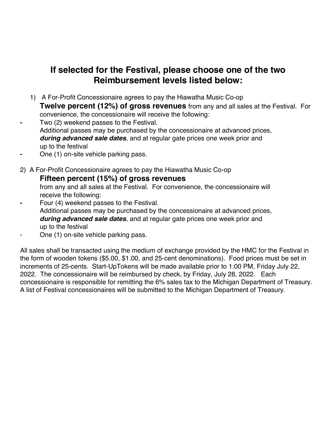## **If selected for the Festival, please choose one of the two Reimbursement levels listed below:**

1) A For-Profit Concessionaire agrees to pay the Hiawatha Music Co-op

**Twelve percent (12%) of gross revenues** from any and all sales at the Festival. For convenience, the concessionaire will receive the following:

**-** Two (2) weekend passes to the Festival.

Additional passes may be purchased by the concessionaire at advanced prices, *during advanced sale dates*, and at regular gate prices one week prior and up to the festival

- **-** One (1) on-site vehicle parking pass.
- 2)A For-Profit Concessionaire agrees to pay the Hiawatha Music Co-op

### **Fifteen percent (15%) of gross revenues**

from any and all sales at the Festival. For convenience, the concessionaire will receive the following:

- **-** Four (4) weekend passes to the Festival. Additional passes may be purchased by the concessionaire at advanced prices, *during advanced sale dates*, and at regular gate prices one week prior and up to the festival
- One (1) on-site vehicle parking pass.

All sales shall be transacted using the medium of exchange provided by the HMC for the Festival in the form of wooden tokens (\$5.00, \$1.00, and 25-cent denominations). Food prices must be set in increments of 25-cents. Start-UpTokens will be made available prior to 1:00 PM, Friday July 22, 2022. The concessionaire will be reimbursed by check, by Friday, July 28, 2022. Each concessionaire is responsible for remitting the 6% sales tax to the Michigan Department of Treasury. A list of Festival concessionaires will be submitted to the Michigan Department of Treasury.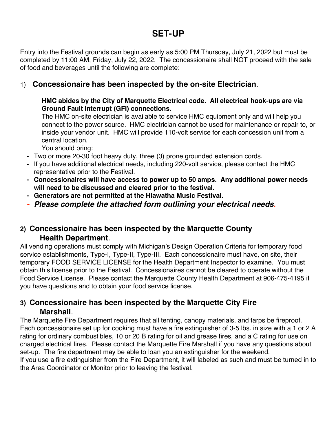# **SET-UP**

Entry into the Festival grounds can begin as early as 5:00 PM Thursday, July 21, 2022 but must be completed by 11:00 AM, Friday, July 22, 2022. The concessionaire shall NOT proceed with the sale of food and beverages until the following are complete:

### 1) **Concessionaire has been inspected by the on-site Electrician**.

### **HMC abides by the City of Marquette Electrical code. All electrical hook-ups are via Ground Fault Interrupt (GFI) connections.**

The HMC on-site electrician is available to service HMC equipment only and will help you connect to the power source. HMC electrician cannot be used for maintenance or repair to, or inside your vendor unit. HMC will provide 110-volt service for each concession unit from a central location.

You should bring:

- **-** Two or more 20-30 foot heavy duty, three (3) prone grounded extension cords.
- **-** If you have additional electrical needs, including 220-volt service, please contact the HMC representative prior to the Festival.
- **- Concessionaires will have access to power up to 50 amps. Any additional power needs will need to be discussed and cleared prior to the festival.**
- **- Generators are not permitted at the Hiawatha Music Festival.**
- *- Please complete the attached form outlining your electrical needs.*

## **2) Concessionaire has been inspected by the Marquette County Health Department**.

All vending operations must comply with Michigan's Design Operation Criteria for temporary food service establishments, Type-I, Type-II, Type-III. Each concessionaire must have, on site, their temporary FOOD SERVICE LICENSE for the Health Department Inspector to examine. You must obtain this license prior to the Festival. Concessionaires cannot be cleared to operate without the Food Service License. Please contact the Marquette County Health Department at 906-475-4195 if you have questions and to obtain your food service license.

## **3) Concessionaire has been inspected by the Marquette City Fire Marshall**.

The Marquette Fire Department requires that all tenting, canopy materials, and tarps be fireproof. Each concessionaire set up for cooking must have a fire extinguisher of 3-5 lbs. in size with a 1 or 2 A rating for ordinary combustibles, 10 or 20 B rating for oil and grease fires, and a C rating for use on charged electrical fires. Please contact the Marquette Fire Marshall if you have any questions about set-up. The fire department may be able to loan you an extinguisher for the weekend. If you use a fire extinguisher from the Fire Department, it will labeled as such and must be turned in to the Area Coordinator or Monitor prior to leaving the festival.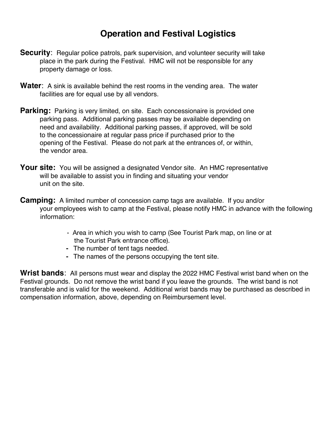# **Operation and Festival Logistics**

- **Security**: Regular police patrols, park supervision, and volunteer security will take place in the park during the Festival. HMC will not be responsible for any property damage or loss.
- **Water**: A sink is available behind the rest rooms in the vending area. The water facilities are for equal use by all vendors.
- **Parking:** Parking is very limited, on site. Each concessionaire is provided one parking pass. Additional parking passes may be available depending on need and availability. Additional parking passes, if approved, will be sold to the concessionaire at regular pass price if purchased prior to the opening of the Festival. Please do not park at the entrances of, or within, the vendor area.
- **Your site:** You will be assigned a designated Vendor site. An HMC representative will be available to assist you in finding and situating your vendor unit on the site.
- **Camping:** A limited number of concession camp tags are available. If you and/or your employees wish to camp at the Festival, please notify HMC in advance with the following information:
	- Area in which you wish to camp (See Tourist Park map, on line or at the Tourist Park entrance office).
	- **-** The number of tent tags needed.
	- **-** The names of the persons occupying the tent site.

**Wrist bands**: All persons must wear and display the 2022 HMC Festival wrist band when on the Festival grounds. Do not remove the wrist band if you leave the grounds. The wrist band is not transferable and is valid for the weekend. Additional wrist bands may be purchased as described in compensation information, above, depending on Reimbursement level.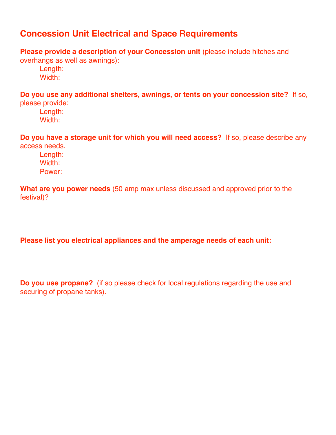# **Concession Unit Electrical and Space Requirements**

**Please provide a description of your Concession unit** (please include hitches and

overhangs as well as awnings):

Length: Width:

**Do you use any additional shelters, awnings, or tents on your concession site?** If so, please provide:

Length: Width:

**Do you have a storage unit for which you will need access?** If so, please describe any access needs.

Length: Width: Power:

**What are you power needs** (50 amp max unless discussed and approved prior to the festival)?

**Please list you electrical appliances and the amperage needs of each unit:**

**Do you use propane?** (if so please check for local regulations regarding the use and securing of propane tanks).